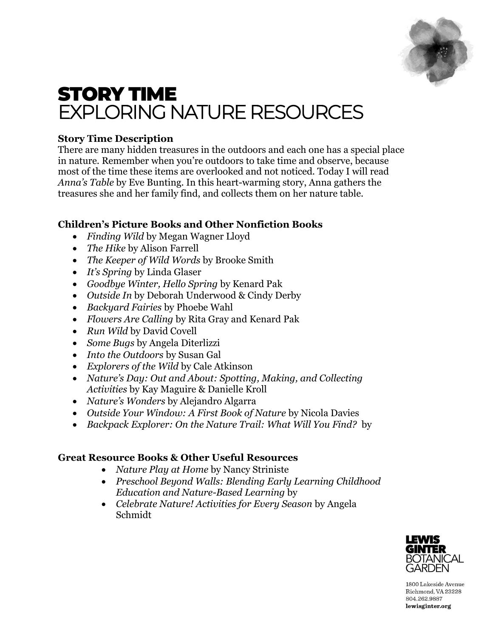

# STORY TIME EXPLORING NATURE RESOURCES

# **Story Time Description**

There are many hidden treasures in the outdoors and each one has a special place in nature. Remember when you're outdoors to take time and observe, because most of the time these items are overlooked and not noticed. Today I will read *Anna's Table* by Eve Bunting. In this heart-warming story, Anna gathers the treasures she and her family find, and collects them on her nature table.

# **Children's Picture Books and Other Nonfiction Books**

- *Finding Wild* by Megan Wagner Lloyd
- *The Hike* by Alison Farrell
- *The Keeper of Wild Words* by Brooke Smith
- *It's Spring* by Linda Glaser
- *Goodbye Winter, Hello Spring* by Kenard Pak
- *Outside In* by Deborah Underwood & Cindy Derby
- *Backyard Fairies* by Phoebe Wahl
- *Flowers Are Calling* by Rita Gray and Kenard Pak
- *Run Wild* by David Covell
- *Some Bugs* by Angela Diterlizzi
- *Into the Outdoors* by Susan Gal
- *Explorers of the Wild* by Cale Atkinson
- *Nature's Day: Out and About: Spotting, Making, and Collecting Activities* by Kay Maguire & Danielle Kroll
- *Nature's Wonders* by Alejandro Algarra
- *Outside Your Window: A First Book of Nature* by Nicola Davies
- *Backpack Explorer: On the Nature Trail: What Will You Find?* by

## **Great Resource Books & Other Useful Resources**

- *Nature Play at Home* by Nancy Striniste
- *Preschool Beyond Walls: Blending Early Learning Childhood Education and Nature-Based Learning* by
- *Celebrate Nature! Activities for Every Season* by Angela Schmidt



1800 Lakeside Avenue Richmond, VA 23228 804.262.9887 lewisginter.org